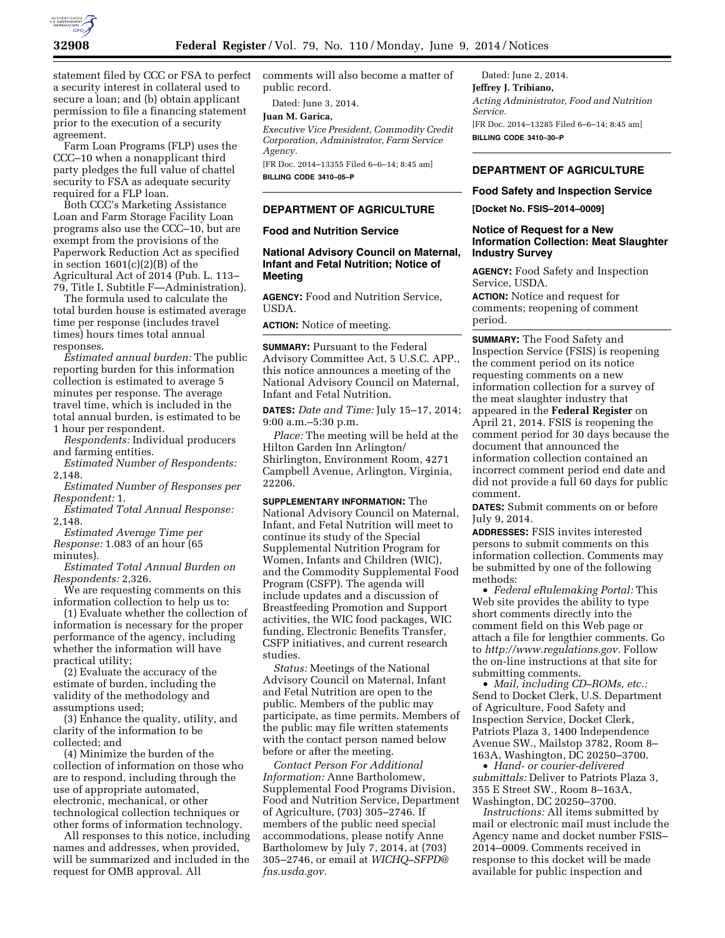

statement filed by CCC or FSA to perfect a security interest in collateral used to secure a loan; and (b) obtain applicant permission to file a financing statement prior to the execution of a security agreement.

Farm Loan Programs (FLP) uses the CCC–10 when a nonapplicant third party pledges the full value of chattel security to FSA as adequate security required for a FLP loan.

Both CCC's Marketing Assistance Loan and Farm Storage Facility Loan programs also use the CCC–10, but are exempt from the provisions of the Paperwork Reduction Act as specified in section  $1601(c)(2)(B)$  of the Agricultural Act of 2014 (Pub. L. 113– 79, Title I, Subtitle F—Administration).

The formula used to calculate the total burden house is estimated average time per response (includes travel times) hours times total annual responses.

*Estimated annual burden:* The public reporting burden for this information collection is estimated to average 5 minutes per response. The average travel time, which is included in the total annual burden, is estimated to be 1 hour per respondent.

*Respondents:* Individual producers and farming entities.

*Estimated Number of Respondents:*  2,148.

*Estimated Number of Responses per Respondent:* 1.

*Estimated Total Annual Response:*  2,148.

*Estimated Average Time per Response:* 1.083 of an hour (65 minutes).

*Estimated Total Annual Burden on Respondents:* 2,326.

We are requesting comments on this information collection to help us to:

(1) Evaluate whether the collection of information is necessary for the proper performance of the agency, including whether the information will have practical utility;

(2) Evaluate the accuracy of the estimate of burden, including the validity of the methodology and assumptions used;

(3) Enhance the quality, utility, and clarity of the information to be collected; and

(4) Minimize the burden of the collection of information on those who are to respond, including through the use of appropriate automated, electronic, mechanical, or other technological collection techniques or other forms of information technology.

All responses to this notice, including names and addresses, when provided, will be summarized and included in the request for OMB approval. All

comments will also become a matter of public record.

Dated: June 3, 2014.

# **Juan M. Garica,**

*Executive Vice President, Commodity Credit Corporation, Administrator, Farm Service Agency.* 

[FR Doc. 2014–13355 Filed 6–6–14; 8:45 am] **BILLING CODE 3410–05–P** 

## **DEPARTMENT OF AGRICULTURE**

## **Food and Nutrition Service**

## **National Advisory Council on Maternal, Infant and Fetal Nutrition; Notice of Meeting**

**AGENCY:** Food and Nutrition Service, USDA.

**ACTION:** Notice of meeting.

**SUMMARY:** Pursuant to the Federal Advisory Committee Act, 5 U.S.C. APP., this notice announces a meeting of the National Advisory Council on Maternal, Infant and Fetal Nutrition.

**DATES:** *Date and Time:* July 15–17, 2014; 9:00 a.m.–5:30 p.m.

*Place:* The meeting will be held at the Hilton Garden Inn Arlington/ Shirlington, Environment Room, 4271 Campbell Avenue, Arlington, Virginia, 22206.

**SUPPLEMENTARY INFORMATION:** The National Advisory Council on Maternal, Infant, and Fetal Nutrition will meet to continue its study of the Special Supplemental Nutrition Program for Women, Infants and Children (WIC), and the Commodity Supplemental Food Program (CSFP). The agenda will include updates and a discussion of Breastfeeding Promotion and Support activities, the WIC food packages, WIC funding, Electronic Benefits Transfer, CSFP initiatives, and current research studies.

*Status:* Meetings of the National Advisory Council on Maternal, Infant and Fetal Nutrition are open to the public. Members of the public may participate, as time permits. Members of the public may file written statements with the contact person named below before or after the meeting.

*Contact Person For Additional Information:* Anne Bartholomew, Supplemental Food Programs Division, Food and Nutrition Service, Department of Agriculture, (703) 305–2746. If members of the public need special accommodations, please notify Anne Bartholomew by July 7, 2014, at (703) 305–2746, or email at *[WICHQ–SFPD@](mailto:WICHQ-SFPD@fns.usda.gov) [fns.usda.gov.](mailto:WICHQ-SFPD@fns.usda.gov)* 

Dated: June 2, 2014. **Jeffrey J. Tribiano,**  *Acting Administrator, Food and Nutrition Service.*  [FR Doc. 2014–13285 Filed 6–6–14; 8:45 am] **BILLING CODE 3410–30–P** 

## **DEPARTMENT OF AGRICULTURE**

#### **Food Safety and Inspection Service**

**[Docket No. FSIS–2014–0009]** 

## **Notice of Request for a New Information Collection: Meat Slaughter Industry Survey**

**AGENCY:** Food Safety and Inspection Service, USDA.

**ACTION:** Notice and request for comments; reopening of comment period.

**SUMMARY:** The Food Safety and Inspection Service (FSIS) is reopening the comment period on its notice requesting comments on a new information collection for a survey of the meat slaughter industry that appeared in the **Federal Register** on April 21, 2014. FSIS is reopening the comment period for 30 days because the document that announced the information collection contained an incorrect comment period end date and did not provide a full 60 days for public comment.

**DATES:** Submit comments on or before July 9, 2014.

**ADDRESSES:** FSIS invites interested persons to submit comments on this information collection. Comments may be submitted by one of the following methods:

• *Federal eRulemaking Portal:* This Web site provides the ability to type short comments directly into the comment field on this Web page or attach a file for lengthier comments. Go to *[http://www.regulations.gov.](http://www.regulations.gov)* Follow the on-line instructions at that site for submitting comments.

• *Mail, including CD–ROMs, etc.:*  Send to Docket Clerk, U.S. Department of Agriculture, Food Safety and Inspection Service, Docket Clerk, Patriots Plaza 3, 1400 Independence Avenue SW., Mailstop 3782, Room 8– 163A, Washington, DC 20250–3700.

• *Hand- or courier-delivered submittals:* Deliver to Patriots Plaza 3, 355 E Street SW., Room 8–163A, Washington, DC 20250–3700.

*Instructions:* All items submitted by mail or electronic mail must include the Agency name and docket number FSIS– 2014–0009. Comments received in response to this docket will be made available for public inspection and